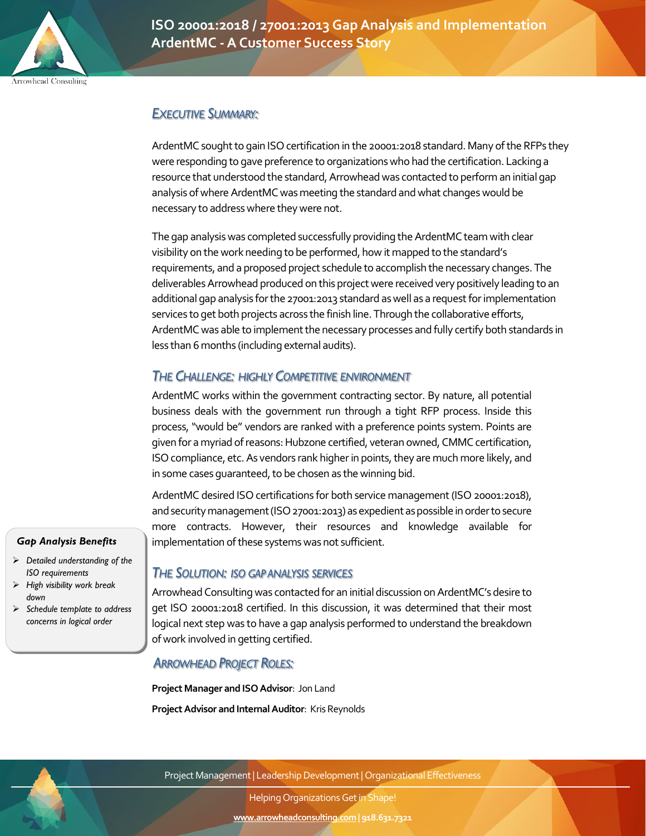

**ISO 20001:2018 / 27001:2013 Gap Analysis and Implementation ArdentMC - A Customer Success Story**

# *EXECUTIVE SUMMARY:*

ArdentMC sought to gain ISO certification in the 20001:2018 standard. Many of the RFPs they were responding to gave preference to organizations who had the certification. Lacking a resource that understood the standard, Arrowhead was contacted to perform an initial gap analysis of where ArdentMC was meeting the standard and what changes would be necessary to address where they were not.

The gap analysis was completed successfully providing the ArdentMC team with clear visibility on the work needing to be performed, how it mapped to the standard's requirements, and a proposed project schedule to accomplish the necessary changes. The deliverables Arrowhead produced on this project were received very positively leading to an additional gap analysis for the 27001:2013 standard as well as a request for implementation services to get both projects across the finish line. Through the collaborative efforts, ArdentMC was able to implement the necessary processes and fully certify both standards in less than 6 months (including external audits).

# *THE CHALLENGE: HIGHLY COMPETITIVE ENVIRONMENT*

ArdentMC works within the government contracting sector. By nature, all potential business deals with the government run through a tight RFP process. Inside this process, "would be" vendors are ranked with a preference points system. Points are given for a myriad of reasons: Hubzone certified, veteran owned, CMMC certification, ISO compliance, etc. As vendors rank higher in points, they are much more likely, and in some cases guaranteed, to be chosen as the winning bid.

ArdentMC desired ISO certifications for both service management (ISO 20001:2018), and securitymanagement(ISO 27001:2013) as expedient as possible in order to secure more contracts. However, their resources and knowledge available for implementation of these systems was not sufficient.

## *THE SOLUTION: ISO GAP ANALYSIS SERVICES*

Arrowhead Consulting was contacted for an initial discussion on ArdentMC's desire to get ISO 20001:2018 certified. In this discussion, it was determined that their most logical next step was to have a gap analysis performed to understand the breakdown of work involved in getting certified.

## *ARROWHEAD PROJECT ROLES:*

**Project Manager and ISO Advisor**: Jon Land **Project Advisor and Internal Auditor**: Kris Reynolds



Project Management | Leadership Development | Organizational Effectiveness

Helping Organizations Get in Shape!

**www.arrowheadconsulting.com| 918.631.7321**

# *Gap Analysis Benefits*

- *Detailed understanding of the ISO requirements*
- *High visibility work break down*
- *Schedule template to address concerns in logical order*